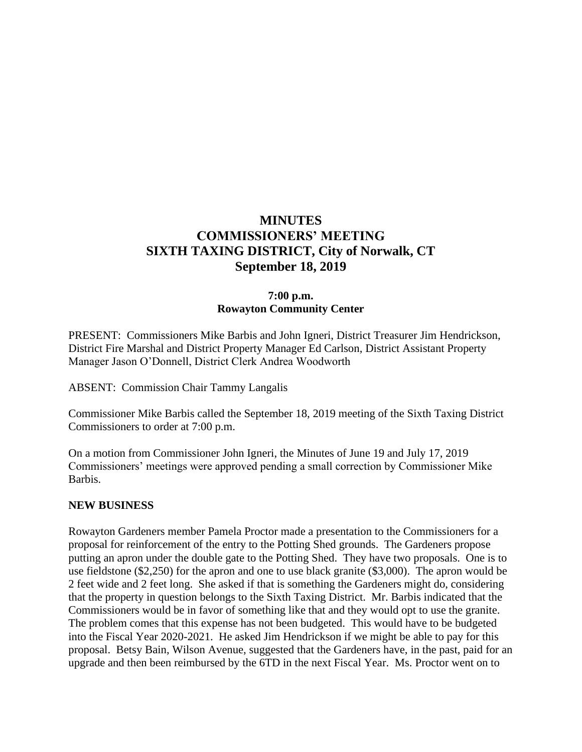## **MINUTES COMMISSIONERS' MEETING SIXTH TAXING DISTRICT, City of Norwalk, CT September 18, 2019**

#### **7:00 p.m. Rowayton Community Center**

PRESENT:Commissioners Mike Barbis and John Igneri, District Treasurer Jim Hendrickson, District Fire Marshal and District Property Manager Ed Carlson, District Assistant Property Manager Jason O'Donnell, District Clerk Andrea Woodworth

ABSENT: Commission Chair Tammy Langalis

Commissioner Mike Barbis called the September 18, 2019 meeting of the Sixth Taxing District Commissioners to order at 7:00 p.m.

On a motion from Commissioner John Igneri, the Minutes of June 19 and July 17, 2019 Commissioners' meetings were approved pending a small correction by Commissioner Mike Barbis.

#### **NEW BUSINESS**

Rowayton Gardeners member Pamela Proctor made a presentation to the Commissioners for a proposal for reinforcement of the entry to the Potting Shed grounds. The Gardeners propose putting an apron under the double gate to the Potting Shed. They have two proposals. One is to use fieldstone (\$2,250) for the apron and one to use black granite (\$3,000). The apron would be 2 feet wide and 2 feet long. She asked if that is something the Gardeners might do, considering that the property in question belongs to the Sixth Taxing District. Mr. Barbis indicated that the Commissioners would be in favor of something like that and they would opt to use the granite. The problem comes that this expense has not been budgeted. This would have to be budgeted into the Fiscal Year 2020-2021. He asked Jim Hendrickson if we might be able to pay for this proposal. Betsy Bain, Wilson Avenue, suggested that the Gardeners have, in the past, paid for an upgrade and then been reimbursed by the 6TD in the next Fiscal Year. Ms. Proctor went on to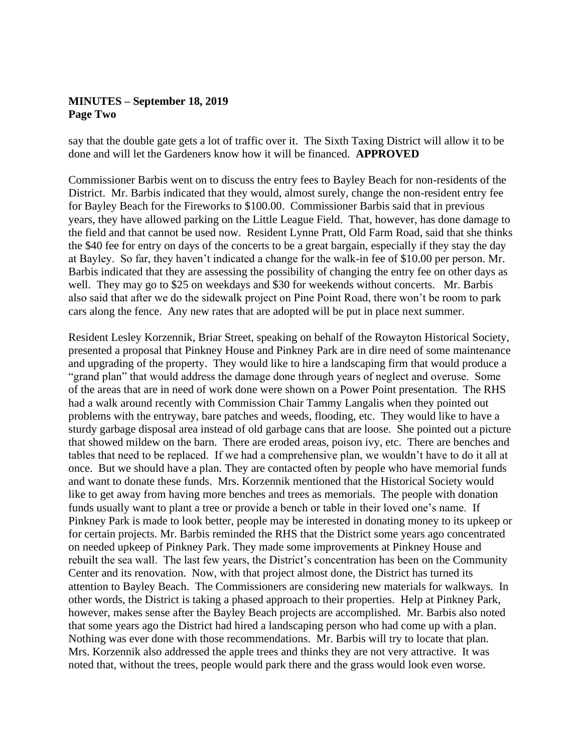#### **MINUTES – September 18, 2019 Page Two**

say that the double gate gets a lot of traffic over it. The Sixth Taxing District will allow it to be done and will let the Gardeners know how it will be financed. **APPROVED**

Commissioner Barbis went on to discuss the entry fees to Bayley Beach for non-residents of the District. Mr. Barbis indicated that they would, almost surely, change the non-resident entry fee for Bayley Beach for the Fireworks to \$100.00. Commissioner Barbis said that in previous years, they have allowed parking on the Little League Field. That, however, has done damage to the field and that cannot be used now. Resident Lynne Pratt, Old Farm Road, said that she thinks the \$40 fee for entry on days of the concerts to be a great bargain, especially if they stay the day at Bayley. So far, they haven't indicated a change for the walk-in fee of \$10.00 per person. Mr. Barbis indicated that they are assessing the possibility of changing the entry fee on other days as well. They may go to \$25 on weekdays and \$30 for weekends without concerts. Mr. Barbis also said that after we do the sidewalk project on Pine Point Road, there won't be room to park cars along the fence. Any new rates that are adopted will be put in place next summer.

Resident Lesley Korzennik, Briar Street, speaking on behalf of the Rowayton Historical Society, presented a proposal that Pinkney House and Pinkney Park are in dire need of some maintenance and upgrading of the property. They would like to hire a landscaping firm that would produce a "grand plan" that would address the damage done through years of neglect and overuse. Some of the areas that are in need of work done were shown on a Power Point presentation. The RHS had a walk around recently with Commission Chair Tammy Langalis when they pointed out problems with the entryway, bare patches and weeds, flooding, etc. They would like to have a sturdy garbage disposal area instead of old garbage cans that are loose. She pointed out a picture that showed mildew on the barn. There are eroded areas, poison ivy, etc. There are benches and tables that need to be replaced. If we had a comprehensive plan, we wouldn't have to do it all at once. But we should have a plan. They are contacted often by people who have memorial funds and want to donate these funds. Mrs. Korzennik mentioned that the Historical Society would like to get away from having more benches and trees as memorials. The people with donation funds usually want to plant a tree or provide a bench or table in their loved one's name. If Pinkney Park is made to look better, people may be interested in donating money to its upkeep or for certain projects. Mr. Barbis reminded the RHS that the District some years ago concentrated on needed upkeep of Pinkney Park. They made some improvements at Pinkney House and rebuilt the sea wall. The last few years, the District's concentration has been on the Community Center and its renovation. Now, with that project almost done, the District has turned its attention to Bayley Beach. The Commissioners are considering new materials for walkways. In other words, the District is taking a phased approach to their properties. Help at Pinkney Park, however, makes sense after the Bayley Beach projects are accomplished. Mr. Barbis also noted that some years ago the District had hired a landscaping person who had come up with a plan. Nothing was ever done with those recommendations. Mr. Barbis will try to locate that plan. Mrs. Korzennik also addressed the apple trees and thinks they are not very attractive. It was noted that, without the trees, people would park there and the grass would look even worse.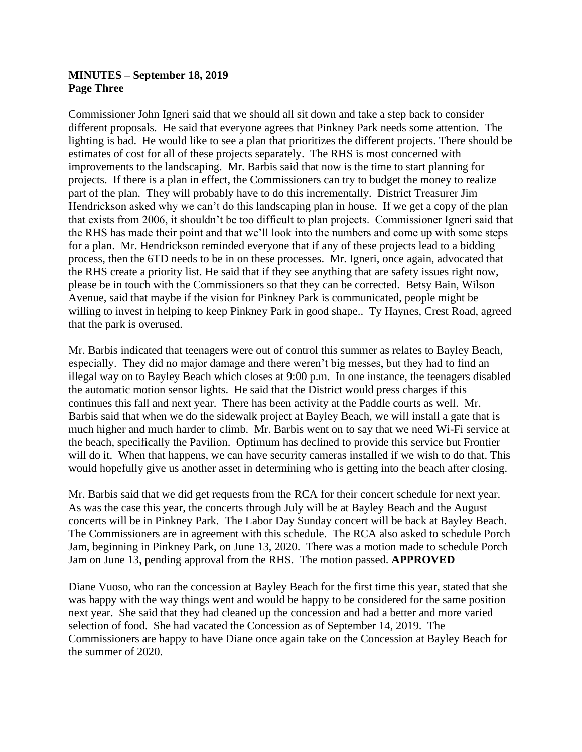#### **MINUTES – September 18, 2019 Page Three**

Commissioner John Igneri said that we should all sit down and take a step back to consider different proposals. He said that everyone agrees that Pinkney Park needs some attention. The lighting is bad. He would like to see a plan that prioritizes the different projects. There should be estimates of cost for all of these projects separately. The RHS is most concerned with improvements to the landscaping. Mr. Barbis said that now is the time to start planning for projects. If there is a plan in effect, the Commissioners can try to budget the money to realize part of the plan. They will probably have to do this incrementally. District Treasurer Jim Hendrickson asked why we can't do this landscaping plan in house. If we get a copy of the plan that exists from 2006, it shouldn't be too difficult to plan projects. Commissioner Igneri said that the RHS has made their point and that we'll look into the numbers and come up with some steps for a plan. Mr. Hendrickson reminded everyone that if any of these projects lead to a bidding process, then the 6TD needs to be in on these processes. Mr. Igneri, once again, advocated that the RHS create a priority list. He said that if they see anything that are safety issues right now, please be in touch with the Commissioners so that they can be corrected. Betsy Bain, Wilson Avenue, said that maybe if the vision for Pinkney Park is communicated, people might be willing to invest in helping to keep Pinkney Park in good shape.. Ty Haynes, Crest Road, agreed that the park is overused.

Mr. Barbis indicated that teenagers were out of control this summer as relates to Bayley Beach, especially. They did no major damage and there weren't big messes, but they had to find an illegal way on to Bayley Beach which closes at 9:00 p.m. In one instance, the teenagers disabled the automatic motion sensor lights. He said that the District would press charges if this continues this fall and next year. There has been activity at the Paddle courts as well. Mr. Barbis said that when we do the sidewalk project at Bayley Beach, we will install a gate that is much higher and much harder to climb. Mr. Barbis went on to say that we need Wi-Fi service at the beach, specifically the Pavilion. Optimum has declined to provide this service but Frontier will do it. When that happens, we can have security cameras installed if we wish to do that. This would hopefully give us another asset in determining who is getting into the beach after closing.

Mr. Barbis said that we did get requests from the RCA for their concert schedule for next year. As was the case this year, the concerts through July will be at Bayley Beach and the August concerts will be in Pinkney Park. The Labor Day Sunday concert will be back at Bayley Beach. The Commissioners are in agreement with this schedule. The RCA also asked to schedule Porch Jam, beginning in Pinkney Park, on June 13, 2020. There was a motion made to schedule Porch Jam on June 13, pending approval from the RHS. The motion passed. **APPROVED**

Diane Vuoso, who ran the concession at Bayley Beach for the first time this year, stated that she was happy with the way things went and would be happy to be considered for the same position next year. She said that they had cleaned up the concession and had a better and more varied selection of food. She had vacated the Concession as of September 14, 2019. The Commissioners are happy to have Diane once again take on the Concession at Bayley Beach for the summer of 2020.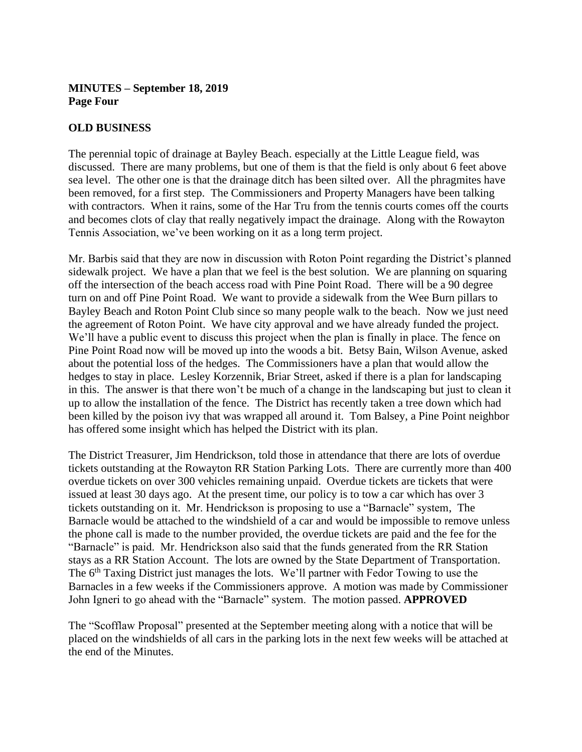## **MINUTES – September 18, 2019 Page Four**

#### **OLD BUSINESS**

The perennial topic of drainage at Bayley Beach. especially at the Little League field, was discussed. There are many problems, but one of them is that the field is only about 6 feet above sea level. The other one is that the drainage ditch has been silted over. All the phragmites have been removed, for a first step. The Commissioners and Property Managers have been talking with contractors. When it rains, some of the Har Tru from the tennis courts comes off the courts and becomes clots of clay that really negatively impact the drainage. Along with the Rowayton Tennis Association, we've been working on it as a long term project.

Mr. Barbis said that they are now in discussion with Roton Point regarding the District's planned sidewalk project. We have a plan that we feel is the best solution. We are planning on squaring off the intersection of the beach access road with Pine Point Road. There will be a 90 degree turn on and off Pine Point Road. We want to provide a sidewalk from the Wee Burn pillars to Bayley Beach and Roton Point Club since so many people walk to the beach. Now we just need the agreement of Roton Point. We have city approval and we have already funded the project. We'll have a public event to discuss this project when the plan is finally in place. The fence on Pine Point Road now will be moved up into the woods a bit. Betsy Bain, Wilson Avenue, asked about the potential loss of the hedges. The Commissioners have a plan that would allow the hedges to stay in place. Lesley Korzennik, Briar Street, asked if there is a plan for landscaping in this. The answer is that there won't be much of a change in the landscaping but just to clean it up to allow the installation of the fence. The District has recently taken a tree down which had been killed by the poison ivy that was wrapped all around it. Tom Balsey, a Pine Point neighbor has offered some insight which has helped the District with its plan.

The District Treasurer, Jim Hendrickson, told those in attendance that there are lots of overdue tickets outstanding at the Rowayton RR Station Parking Lots. There are currently more than 400 overdue tickets on over 300 vehicles remaining unpaid. Overdue tickets are tickets that were issued at least 30 days ago. At the present time, our policy is to tow a car which has over 3 tickets outstanding on it. Mr. Hendrickson is proposing to use a "Barnacle" system, The Barnacle would be attached to the windshield of a car and would be impossible to remove unless the phone call is made to the number provided, the overdue tickets are paid and the fee for the "Barnacle" is paid. Mr. Hendrickson also said that the funds generated from the RR Station stays as a RR Station Account. The lots are owned by the State Department of Transportation. The 6<sup>th</sup> Taxing District just manages the lots. We'll partner with Fedor Towing to use the Barnacles in a few weeks if the Commissioners approve. A motion was made by Commissioner John Igneri to go ahead with the "Barnacle" system. The motion passed. **APPROVED**

The "Scofflaw Proposal" presented at the September meeting along with a notice that will be placed on the windshields of all cars in the parking lots in the next few weeks will be attached at the end of the Minutes.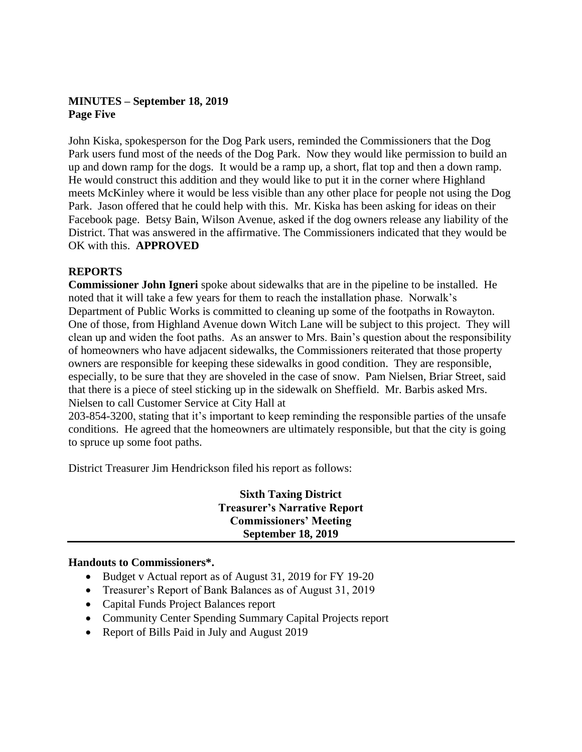## **MINUTES – September 18, 2019 Page Five**

John Kiska, spokesperson for the Dog Park users, reminded the Commissioners that the Dog Park users fund most of the needs of the Dog Park. Now they would like permission to build an up and down ramp for the dogs. It would be a ramp up, a short, flat top and then a down ramp. He would construct this addition and they would like to put it in the corner where Highland meets McKinley where it would be less visible than any other place for people not using the Dog Park. Jason offered that he could help with this. Mr. Kiska has been asking for ideas on their Facebook page. Betsy Bain, Wilson Avenue, asked if the dog owners release any liability of the District. That was answered in the affirmative. The Commissioners indicated that they would be OK with this. **APPROVED**

## **REPORTS**

**Commissioner John Igneri** spoke about sidewalks that are in the pipeline to be installed. He noted that it will take a few years for them to reach the installation phase. Norwalk's Department of Public Works is committed to cleaning up some of the footpaths in Rowayton. One of those, from Highland Avenue down Witch Lane will be subject to this project. They will clean up and widen the foot paths. As an answer to Mrs. Bain's question about the responsibility of homeowners who have adjacent sidewalks, the Commissioners reiterated that those property owners are responsible for keeping these sidewalks in good condition. They are responsible, especially, to be sure that they are shoveled in the case of snow. Pam Nielsen, Briar Street, said that there is a piece of steel sticking up in the sidewalk on Sheffield. Mr. Barbis asked Mrs. Nielsen to call Customer Service at City Hall at

203-854-3200, stating that it's important to keep reminding the responsible parties of the unsafe conditions. He agreed that the homeowners are ultimately responsible, but that the city is going to spruce up some foot paths.

District Treasurer Jim Hendrickson filed his report as follows:

**Sixth Taxing District Treasurer's Narrative Report Commissioners' Meeting September 18, 2019**

#### **Handouts to Commissioners\*.**

- Budget v Actual report as of August 31, 2019 for FY 19-20
- Treasurer's Report of Bank Balances as of August 31, 2019
- Capital Funds Project Balances report
- Community Center Spending Summary Capital Projects report
- Report of Bills Paid in July and August 2019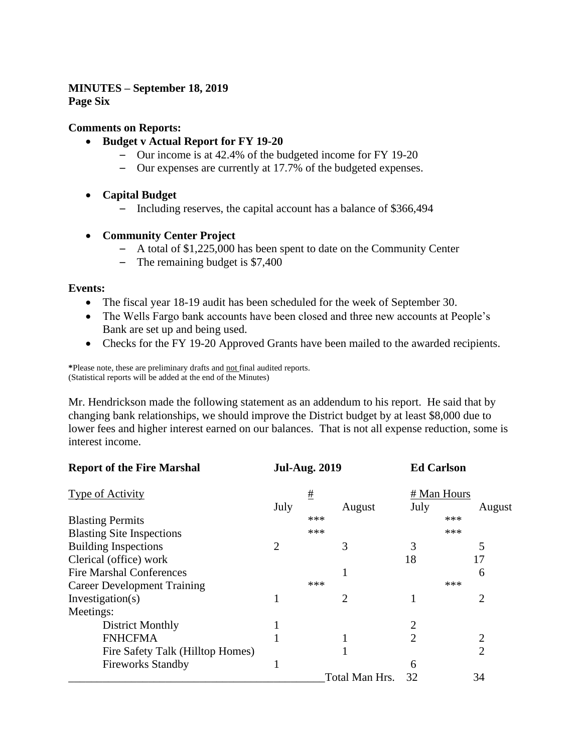# **MINUTES – September 18, 2019**

**Page Six**

#### **Comments on Reports:**

- **Budget v Actual Report for FY 19-20**
	- Our income is at 42.4% of the budgeted income for FY 19-20
	- Our expenses are currently at 17.7% of the budgeted expenses.
- **Capital Budget**
	- Including reserves, the capital account has a balance of \$366,494
- **Community Center Project**
	- A total of \$1,225,000 has been spent to date on the Community Center
	- The remaining budget is \$7,400

#### **Events:**

- The fiscal year 18-19 audit has been scheduled for the week of September 30.
- The Wells Fargo bank accounts have been closed and three new accounts at People's Bank are set up and being used.
- Checks for the FY 19-20 Approved Grants have been mailed to the awarded recipients.

**\***Please note, these are preliminary drafts and not final audited reports. (Statistical reports will be added at the end of the Minutes)

Mr. Hendrickson made the following statement as an addendum to his report. He said that by changing bank relationships, we should improve the District budget by at least \$8,000 due to lower fees and higher interest earned on our balances. That is not all expense reduction, some is interest income.

| <b>Report of the Fire Marshal</b>  | <b>Jul-Aug. 2019</b><br># |     |                |                | <b>Ed Carlson</b> |
|------------------------------------|---------------------------|-----|----------------|----------------|-------------------|
| <b>Type of Activity</b>            |                           |     |                | # Man Hours    |                   |
|                                    | July                      |     | August         | July           | August            |
| <b>Blasting Permits</b>            |                           | *** |                |                | ***               |
| <b>Blasting Site Inspections</b>   |                           | *** |                |                | ***               |
| <b>Building Inspections</b>        | $\overline{2}$            |     | 3              | 3              | 5                 |
| Clerical (office) work             |                           |     |                | 18             | 17                |
| <b>Fire Marshal Conferences</b>    |                           |     | 1              |                | 6                 |
| <b>Career Development Training</b> |                           | *** |                |                | ***               |
| Investigation(s)                   |                           |     | $\overline{2}$ |                | $\overline{2}$    |
| Meetings:                          |                           |     |                |                |                   |
| District Monthly                   |                           |     |                |                |                   |
| <b>FNHCFMA</b>                     |                           |     |                | $\overline{2}$ | $\overline{2}$    |
| Fire Safety Talk (Hilltop Homes)   |                           |     |                |                | $\overline{2}$    |
| <b>Fireworks Standby</b>           |                           |     |                | 6              |                   |
|                                    |                           |     | Total Man Hrs. | 32             | 34                |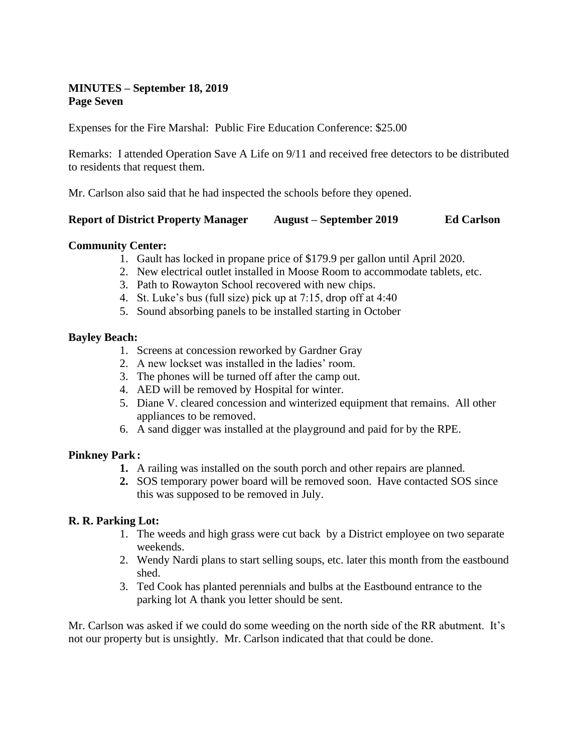## **MINUTES – September 18, 2019 Page Seven**

Expenses for the Fire Marshal: Public Fire Education Conference: \$25.00

Remarks: I attended Operation Save A Life on 9/11 and received free detectors to be distributed to residents that request them.

Mr. Carlson also said that he had inspected the schools before they opened.

#### **Report of District Property Manager August – September 2019 Ed Carlson**

#### **Community Center:**

- 1. Gault has locked in propane price of \$179.9 per gallon until April 2020.
- 2. New electrical outlet installed in Moose Room to accommodate tablets, etc.
- 3. Path to Rowayton School recovered with new chips.
- 4. St. Luke's bus (full size) pick up at 7:15, drop off at 4:40
- 5. Sound absorbing panels to be installed starting in October

#### **Bayley Beach:**

- 1. Screens at concession reworked by Gardner Gray
- 2. A new lockset was installed in the ladies' room.
- 3. The phones will be turned off after the camp out.
- 4. AED will be removed by Hospital for winter.
- 5. Diane V. cleared concession and winterized equipment that remains. All other appliances to be removed.
- 6. A sand digger was installed at the playground and paid for by the RPE.

## **Pinkney Park:**

- **1.** A railing was installed on the south porch and other repairs are planned.
- **2.** SOS temporary power board will be removed soon. Have contacted SOS since this was supposed to be removed in July.

## **R. R. Parking Lot:**

- 1. The weeds and high grass were cut back by a District employee on two separate weekends.
- 2. Wendy Nardi plans to start selling soups, etc. later this month from the eastbound shed.
- 3. Ted Cook has planted perennials and bulbs at the Eastbound entrance to the parking lot A thank you letter should be sent.

Mr. Carlson was asked if we could do some weeding on the north side of the RR abutment. It's not our property but is unsightly. Mr. Carlson indicated that that could be done.